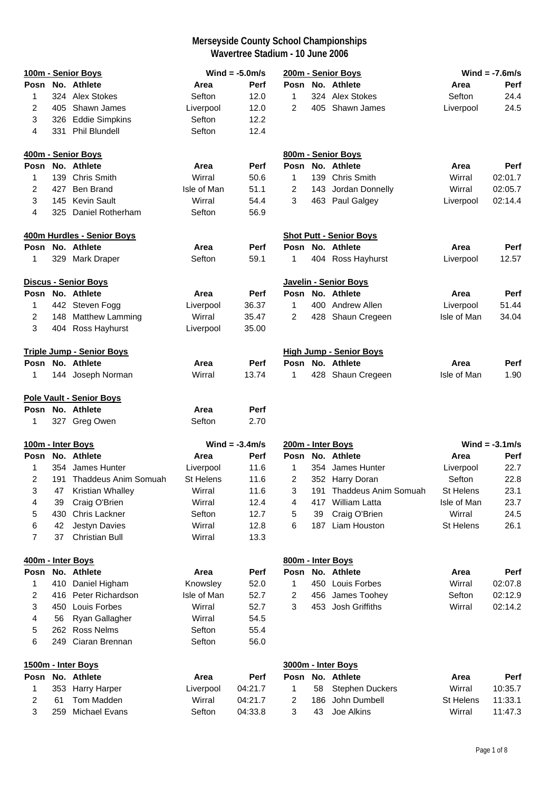|                |     | 100m - Senior Boys               |             | Wind = $-5.0$ m/s |                |     | 200m - Senior Boys             |                  | Wind = $-7.6$ m/s |
|----------------|-----|----------------------------------|-------------|-------------------|----------------|-----|--------------------------------|------------------|-------------------|
| Posn           |     | No. Athlete                      | Area        | Perf              | Posn           |     | No. Athlete                    | Area             | Perf              |
| 1              |     | 324 Alex Stokes                  | Sefton      | 12.0              | 1              |     | 324 Alex Stokes                | Sefton           | 24.4              |
| 2              |     | 405 Shawn James                  | Liverpool   | 12.0              | 2              |     | 405 Shawn James                | Liverpool        | 24.5              |
| 3              |     | 326 Eddie Simpkins               | Sefton      | 12.2              |                |     |                                |                  |                   |
| 4              |     | 331 Phil Blundell                | Sefton      | 12.4              |                |     |                                |                  |                   |
|                |     | 400m - Senior Boys               |             |                   |                |     | 800m - Senior Boys             |                  |                   |
|                |     | Posn No. Athlete                 | Area        | Perf              |                |     | Posn No. Athlete               | Area             | Perf              |
| 1              |     | 139 Chris Smith                  | Wirral      | 50.6              | $\mathbf{1}$   |     | 139 Chris Smith                | Wirral           | 02:01.7           |
| 2              | 427 | <b>Ben Brand</b>                 | Isle of Man | 51.1              | $\overline{c}$ |     | 143 Jordan Donnelly            | Wirral           | 02:05.7           |
| 3              |     | 145 Kevin Sault                  | Wirral      | 54.4              | 3              |     | 463 Paul Galgey                | Liverpool        | 02:14.4           |
| 4              |     | 325 Daniel Rotherham             | Sefton      | 56.9              |                |     |                                |                  |                   |
|                |     | 400m Hurdles - Senior Boys       |             |                   |                |     | <b>Shot Putt - Senior Boys</b> |                  |                   |
|                |     | Posn No. Athlete                 | Area        | <b>Perf</b>       |                |     | Posn No. Athlete               | Area             | Perf              |
| 1              |     | 329 Mark Draper                  | Sefton      | 59.1              | 1              |     | 404 Ross Hayhurst              | Liverpool        | 12.57             |
|                |     | Discus - Senior Boys             |             |                   |                |     | Javelin - Senior Boys          |                  |                   |
| Posn           |     | No. Athlete                      | Area        | Perf              | Posn           |     | No. Athlete                    | Area             | Perf              |
| 1              |     | 442 Steven Fogg                  | Liverpool   | 36.37             | 1              |     | 400 Andrew Allen               | Liverpool        | 51.44             |
| $\overline{c}$ |     | 148 Matthew Lamming              | Wirral      | 35.47             | 2              |     | 428 Shaun Cregeen              | Isle of Man      | 34.04             |
| 3              |     | 404 Ross Hayhurst                | Liverpool   | 35.00             |                |     |                                |                  |                   |
|                |     | <b>Triple Jump - Senior Boys</b> |             |                   |                |     | <b>High Jump - Senior Boys</b> |                  |                   |
|                |     | Posn No. Athlete                 | Area        | <b>Perf</b>       |                |     | Posn No. Athlete               | Area             | Perf              |
| 1              |     | 144 Joseph Norman                | Wirral      | 13.74             | 1              |     | 428 Shaun Cregeen              | Isle of Man      | 1.90              |
|                |     |                                  |             |                   |                |     |                                |                  |                   |
|                |     | <b>Pole Vault - Senior Boys</b>  |             |                   |                |     |                                |                  |                   |
|                |     | Posn No. Athlete                 | Area        | <b>Perf</b>       |                |     |                                |                  |                   |
| 1              |     | 327 Greg Owen                    | Sefton      | 2.70              |                |     |                                |                  |                   |
|                |     | 100m - Inter Boys                |             | Wind = $-3.4$ m/s |                |     | 200m - Inter Boys              |                  | Wind = $-3.1$ m/s |
| Posn           |     | No. Athlete                      | Area        | Perf              | Posn           |     | No. Athlete                    | Area             | Perf              |
| 1              | 354 | James Hunter                     | Liverpool   | 11.6              | 1              |     | 354 James Hunter               | Liverpool        | 22.7              |
| 2              | 191 | Thaddeus Anim Somuah             | St Helens   | 11.6              | 2              |     | 352 Harry Doran                | Sefton           | 22.8              |
| 3              | 47  | Kristian Whalley                 | Wirral      | 11.6              | 3              | 191 | Thaddeus Anim Somuah           | <b>St Helens</b> | 23.1              |
| 4              | 39  | Craig O'Brien                    | Wirral      | 12.4              | 4              | 417 | William Latta                  | Isle of Man      | 23.7              |
| 5              | 430 | Chris Lackner                    | Sefton      | 12.7              | 5              | 39  | Craig O'Brien                  | Wirral           | 24.5              |
| 6              | 42  | Jestyn Davies                    | Wirral      | 12.8              | 6              | 187 | Liam Houston                   | St Helens        | 26.1              |
| 7              | 37  | <b>Christian Bull</b>            | Wirral      | 13.3              |                |     |                                |                  |                   |
|                |     | 400m - Inter Boys                |             |                   |                |     | 800m - Inter Boys              |                  |                   |
| Posn           |     | No. Athlete                      | Area        | Perf              |                |     | Posn No. Athlete               | Area             | Perf              |
| 1              |     | 410 Daniel Higham                | Knowsley    | 52.0              | 1              |     | 450 Louis Forbes               | Wirral           | 02:07.8           |
| 2              |     | 416 Peter Richardson             | Isle of Man | 52.7              | $\overline{c}$ | 456 | James Toohey                   | Sefton           | 02:12.9           |
| 3              | 450 | Louis Forbes                     | Wirral      | 52.7              | 3              | 453 | Josh Griffiths                 | Wirral           | 02:14.2           |
| 4              | 56  | Ryan Gallagher                   | Wirral      | 54.5              |                |     |                                |                  |                   |
| 5              |     | 262 Ross Nelms                   | Sefton      | 55.4              |                |     |                                |                  |                   |
| 6              |     | 249 Ciaran Brennan               | Sefton      | 56.0              |                |     |                                |                  |                   |
|                |     | 1500m - Inter Boys               |             |                   |                |     | 3000m - Inter Boys             |                  |                   |
| Posn           |     | No. Athlete                      | Area        | Perf              | Posn           |     | No. Athlete                    | Area             | Perf              |
| 1              |     | 353 Harry Harper                 | Liverpool   | 04:21.7           | 1              | 58  | <b>Stephen Duckers</b>         | Wirral           | 10:35.7           |
| 2              | 61  | Tom Madden                       | Wirral      | 04:21.7           | 2              | 186 | John Dumbell                   | <b>St Helens</b> | 11:33.1           |
| 3              | 259 | Michael Evans                    | Sefton      | 04:33.8           | 3              | 43  | Joe Alkins                     | Wirral           | 11:47.3           |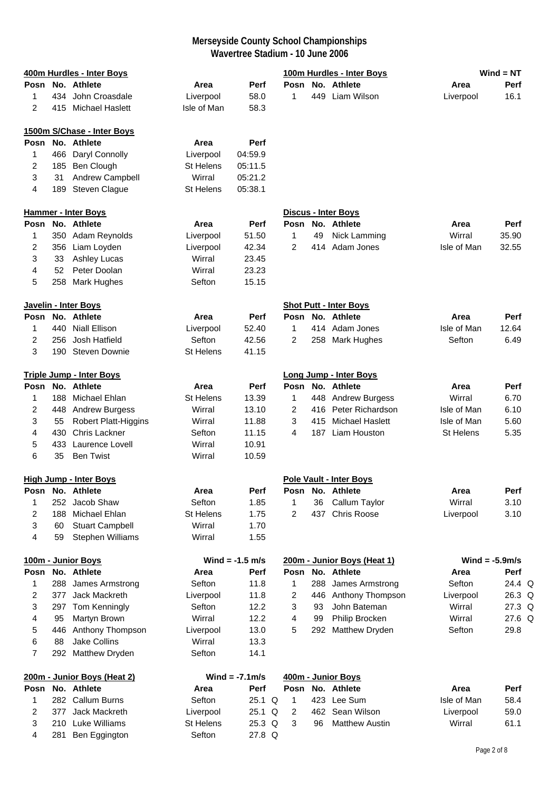|      |     | 400m Hurdles - Inter Boys       |                  |                   |                |     | 100m Hurdles - Inter Boys      |             | $Wind = NT$       |
|------|-----|---------------------------------|------------------|-------------------|----------------|-----|--------------------------------|-------------|-------------------|
| Posn |     | No. Athlete                     | Area             | Perf              | Posn           |     | No. Athlete                    | Area        | Perf              |
| 1    |     | 434 John Croasdale              | Liverpool        | 58.0              | 1              |     | 449 Liam Wilson                | Liverpool   | 16.1              |
| 2    |     | 415 Michael Haslett             | Isle of Man      | 58.3              |                |     |                                |             |                   |
|      |     | 1500m S/Chase - Inter Boys      |                  |                   |                |     |                                |             |                   |
| Posn |     | No. Athlete                     | Area             | Perf              |                |     |                                |             |                   |
| 1    |     | 466 Daryl Connolly              | Liverpool        | 04:59.9           |                |     |                                |             |                   |
| 2    |     | 185 Ben Clough                  | St Helens        | 05:11.5           |                |     |                                |             |                   |
| 3    | 31  | Andrew Campbell                 | Wirral           | 05:21.2           |                |     |                                |             |                   |
| 4    |     | 189 Steven Clague               | <b>St Helens</b> | 05:38.1           |                |     |                                |             |                   |
|      |     | <b>Hammer - Inter Boys</b>      |                  |                   |                |     | Discus - Inter Boys            |             |                   |
|      |     | Posn No. Athlete                | Area             | Perf              |                |     | Posn No. Athlete               | Area        | Perf              |
| 1    |     | 350 Adam Reynolds               | Liverpool        | 51.50             | 1              | 49  | Nick Lamming                   | Wirral      | 35.90             |
| 2    |     | 356 Liam Loyden                 | Liverpool        | 42.34             | 2              | 414 | Adam Jones                     | Isle of Man | 32.55             |
| 3    | 33  | <b>Ashley Lucas</b>             | Wirral           | 23.45             |                |     |                                |             |                   |
| 4    | 52  | Peter Doolan                    | Wirral           | 23.23             |                |     |                                |             |                   |
| 5    |     | 258 Mark Hughes                 | Sefton           | 15.15             |                |     |                                |             |                   |
|      |     | Javelin - Inter Boys            |                  |                   |                |     | <b>Shot Putt - Inter Boys</b>  |             |                   |
| Posn |     | No. Athlete                     | Area             | Perf              |                |     | Posn No. Athlete               | Area        | Perf              |
| 1    | 440 | <b>Niall Ellison</b>            | Liverpool        | 52.40             | $\mathbf{1}$   |     | 414 Adam Jones                 | Isle of Man | 12.64             |
| 2    | 256 | Josh Hatfield                   | Sefton           | 42.56             | 2              |     | 258 Mark Hughes                | Sefton      | 6.49              |
| 3    |     | 190 Steven Downie               | St Helens        | 41.15             |                |     |                                |             |                   |
|      |     | <b>Triple Jump - Inter Boys</b> |                  |                   |                |     | <b>Long Jump - Inter Boys</b>  |             |                   |
| Posn |     | No. Athlete                     | Area             | <b>Perf</b>       |                |     | Posn No. Athlete               | Area        | Perf              |
| 1    | 188 | Michael Ehlan                   | St Helens        | 13.39             | 1              |     | 448 Andrew Burgess             | Wirral      | 6.70              |
| 2    |     | 448 Andrew Burgess              | Wirral           | 13.10             | 2              |     | 416 Peter Richardson           | Isle of Man | 6.10              |
| 3    | 55  | <b>Robert Platt-Higgins</b>     | Wirral           | 11.88             | 3              |     | 415 Michael Haslett            | Isle of Man | 5.60              |
| 4    | 430 | <b>Chris Lackner</b>            | Sefton           | 11.15             | 4              |     | 187 Liam Houston               | St Helens   | 5.35              |
| 5    | 433 | Laurence Lovell                 | Wirral           | 10.91             |                |     |                                |             |                   |
| 6    | 35  | <b>Ben Twist</b>                | Wirral           | 10.59             |                |     |                                |             |                   |
|      |     | <u> High Jump - Inter Boys</u>  |                  |                   |                |     | <b>Pole Vault - Inter Boys</b> |             |                   |
| Posn |     | No. Athlete                     | Area             | Perf              | Posn           |     | No. Athlete                    | Area        | Perf              |
| 1    | 252 | Jacob Shaw                      | Sefton           | 1.85              | 1              | 36  | Callum Taylor                  | Wirral      | 3.10              |
| 2    | 188 | Michael Ehlan                   | <b>St Helens</b> | 1.75              | $\overline{2}$ | 437 | <b>Chris Roose</b>             | Liverpool   | 3.10              |
| 3    | 60  | <b>Stuart Campbell</b>          | Wirral           | 1.70              |                |     |                                |             |                   |
| 4    | 59  | Stephen Williams                | Wirral           | 1.55              |                |     |                                |             |                   |
|      |     | 100m - Junior Boys              |                  | Wind = $-1.5$ m/s |                |     | 200m - Junior Boys (Heat 1)    |             | Wind = $-5.9$ m/s |
| Posn |     | No. Athlete                     | Area             | <b>Perf</b>       | Posn           |     | No. Athlete                    | Area        | Perf              |
| 1    | 288 | James Armstrong                 | Sefton           | 11.8              | 1              |     | 288 James Armstrong            | Sefton      | 24.4 Q            |
| 2    | 377 | Jack Mackreth                   | Liverpool        | 11.8              | 2              |     | 446 Anthony Thompson           | Liverpool   | 26.3 Q            |
| 3    | 297 | Tom Kenningly                   | Sefton           | 12.2              | 3              | 93  | John Bateman                   | Wirral      | 27.3 Q            |
| 4    | 95  | Martyn Brown                    | Wirral           | 12.2              | 4              | 99  | Philip Brocken                 | Wirral      | 27.6 Q            |
| 5    | 446 | Anthony Thompson                | Liverpool        | 13.0              | 5              | 292 | Matthew Dryden                 | Sefton      | 29.8              |
| 6    | 88  | Jake Collins                    | Wirral           | 13.3              |                |     |                                |             |                   |
| 7    |     | 292 Matthew Dryden              | Sefton           | 14.1              |                |     |                                |             |                   |
|      |     | 200m - Junior Boys (Heat 2)     |                  | Wind = $-7.1$ m/s |                |     | 400m - Junior Boys             |             |                   |
| Posn |     | No. Athlete                     | Area             | Perf              | Posn           |     | No. Athlete                    | Area        | Perf              |
| 1    |     | 282 Callum Burns                | Sefton           | 25.1 Q            | 1              |     | 423 Lee Sum                    | Isle of Man | 58.4              |
| 2    | 377 | Jack Mackreth                   | Liverpool        | 25.1 Q            | $\overline{2}$ |     | 462 Sean Wilson                | Liverpool   | 59.0              |
| 3    |     | 210 Luke Williams               | <b>St Helens</b> | 25.3 Q            | 3              | 96  | <b>Matthew Austin</b>          | Wirral      | 61.1              |
| 4    |     | 281 Ben Eggington               | Sefton           | 27.8 Q            |                |     |                                |             |                   |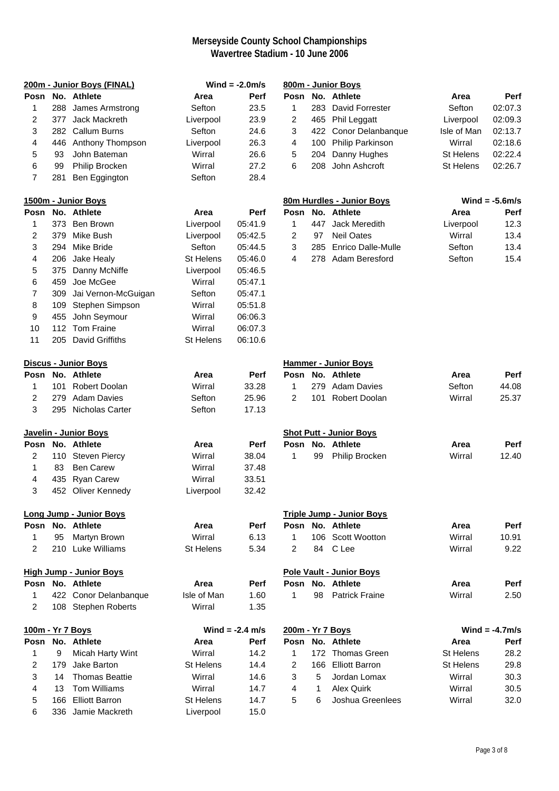|                         |                             | 200m - Junior Boys (FINAL)     |                  | Wind = $-2.0$ m/s |                  |              | 800m - Junior Boys               |                  |                   |  |
|-------------------------|-----------------------------|--------------------------------|------------------|-------------------|------------------|--------------|----------------------------------|------------------|-------------------|--|
|                         |                             | Posn No. Athlete               | Area             | Perf              |                  |              | Posn No. Athlete                 | Area             | Perf              |  |
| 1                       |                             | 288 James Armstrong            | Sefton           | 23.5              | 1                |              | 283 David Forrester              | Sefton           | 02:07.3           |  |
| 2                       | 377                         | Jack Mackreth                  | Liverpool        | 23.9              | 2                |              | 465 Phil Leggatt                 | Liverpool        | 02:09.3           |  |
| 3                       |                             | 282 Callum Burns               | Sefton           | 24.6              | 3                |              | 422 Conor Delanbanque            | Isle of Man      | 02:13.7           |  |
| 4                       |                             | 446 Anthony Thompson           | Liverpool        | 26.3              | 4                | 100          | <b>Philip Parkinson</b>          | Wirral           | 02:18.6           |  |
| 5                       | 93                          | John Bateman                   | Wirral           | 26.6              | 5                |              | 204 Danny Hughes                 | St Helens        | 02:22.4           |  |
| 6                       | 99                          | Philip Brocken                 | Wirral           | 27.2              | 6                | 208          | John Ashcroft                    | <b>St Helens</b> | 02:26.7           |  |
| $\overline{7}$          | 281                         | Ben Eggington                  | Sefton           | 28.4              |                  |              |                                  |                  |                   |  |
|                         |                             | 1500m - Junior Boys            |                  |                   |                  |              | 80m Hurdles - Junior Boys        |                  | Wind = $-5.6$ m/s |  |
| Posn                    |                             | No. Athlete                    | Area             | Perf              | Posn             |              | No. Athlete                      | Area             | Perf              |  |
| 1                       |                             | 373 Ben Brown                  | Liverpool        | 05:41.9           | $\mathbf{1}$     | 447          | Jack Meredith                    | Liverpool        | 12.3              |  |
| 2                       | 379                         | Mike Bush                      | Liverpool        | 05:42.5           | 2                | 97           | <b>Neil Oates</b>                | Wirral           | 13.4              |  |
| 3                       | 294                         | Mike Bride                     | Sefton           | 05:44.5           | 3                | 285          | <b>Enrico Dalle-Mulle</b>        | Sefton           | 13.4              |  |
| 4                       | 206                         | Jake Healy                     | <b>St Helens</b> | 05:46.0           | 4                | 278          | Adam Beresford                   | Sefton           | 15.4              |  |
| 5                       | 375                         | Danny McNiffe                  | Liverpool        | 05:46.5           |                  |              |                                  |                  |                   |  |
| 6                       | 459                         | Joe McGee                      | Wirral           | 05:47.1           |                  |              |                                  |                  |                   |  |
| $\overline{7}$          | 309                         | Jai Vernon-McGuigan            | Sefton           | 05:47.1           |                  |              |                                  |                  |                   |  |
| 8                       | 109                         | Stephen Simpson                | Wirral           | 05:51.8           |                  |              |                                  |                  |                   |  |
| 9                       | 455                         | John Seymour                   | Wirral           | 06:06.3           |                  |              |                                  |                  |                   |  |
| 10                      |                             | 112 Tom Fraine                 | Wirral           | 06:07.3           |                  |              |                                  |                  |                   |  |
| 11                      |                             | 205 David Griffiths            | <b>St Helens</b> | 06:10.6           |                  |              |                                  |                  |                   |  |
|                         | <b>Discus - Junior Boys</b> |                                |                  |                   |                  |              | <b>Hammer - Junior Boys</b>      |                  |                   |  |
| Posn                    |                             | No. Athlete                    | Area             | Perf              |                  |              | Posn No. Athlete                 | Area             | Perf              |  |
| 1                       | 101                         | <b>Robert Doolan</b>           | Wirral           | 33.28             | 1                | 279          | <b>Adam Davies</b>               | Sefton           | 44.08             |  |
| $\overline{2}$          |                             | 279 Adam Davies                | Sefton           | 25.96             | $\overline{2}$   | 101          | <b>Robert Doolan</b>             | Wirral           | 25.37             |  |
| 3                       |                             | 295 Nicholas Carter            | Sefton           | 17.13             |                  |              |                                  |                  |                   |  |
|                         |                             | Javelin - Junior Boys          |                  |                   |                  |              | <b>Shot Putt - Junior Boys</b>   |                  |                   |  |
| Posn                    |                             | No. Athlete                    | Area             | Perf              |                  |              | Posn No. Athlete                 | Area             | Perf              |  |
| $\overline{c}$          |                             | 110 Steven Piercy              | Wirral           | 38.04             | $\mathbf{1}$     | 99           | Philip Brocken                   | Wirral           | 12.40             |  |
| 1                       | 83                          | <b>Ben Carew</b>               | Wirral           | 37.48             |                  |              |                                  |                  |                   |  |
| 4                       |                             | 435 Ryan Carew                 | Wirral           | 33.51             |                  |              |                                  |                  |                   |  |
| 3                       |                             | 452 Oliver Kennedy             | Liverpool        | 32.42             |                  |              |                                  |                  |                   |  |
|                         |                             | <b>Long Jump - Junior Boys</b> |                  |                   |                  |              | <b>Triple Jump - Junior Boys</b> |                  |                   |  |
|                         |                             | Posn No. Athlete               | Area             | Perf              |                  |              | Posn No. Athlete                 | Area             | Perf              |  |
| 1                       | 95                          | Martyn Brown                   | Wirral           | 6.13              | 1                |              | 106 Scott Wootton                | Wirral           | 10.91             |  |
| $\overline{c}$          |                             | 210 Luke Williams              | <b>St Helens</b> | 5.34              | 2                | 84           | C Lee                            | Wirral           | 9.22              |  |
|                         |                             | <b>High Jump - Junior Boys</b> |                  |                   |                  |              | <b>Pole Vault - Junior Boys</b>  |                  |                   |  |
|                         |                             | Posn No. Athlete               | Area             | Perf              |                  |              | Posn No. Athlete                 | Area             | Perf              |  |
| 1                       |                             | 422 Conor Delanbanque          | Isle of Man      | 1.60              | 1                | 98           | <b>Patrick Fraine</b>            | Wirral           | 2.50              |  |
| $\overline{2}$          |                             | 108 Stephen Roberts            | Wirral           | 1.35              |                  |              |                                  |                  |                   |  |
| 100m - Yr 7 Boys        |                             |                                |                  | Wind = $-2.4$ m/s | 200m - Yr 7 Boys |              |                                  |                  | Wind = $-4.7$ m/s |  |
| Posn                    |                             | No. Athlete                    | Area             | Perf              |                  |              | Posn No. Athlete                 | Area             | Perf              |  |
| $\mathbf{1}$            | 9                           | Micah Harty Wint               | Wirral           | 14.2              | 1                |              | 172 Thomas Green                 | St Helens        | 28.2              |  |
| $\overline{c}$          | 179                         | Jake Barton                    | <b>St Helens</b> | 14.4              | 2                |              | 166 Elliott Barron               | St Helens        | 29.8              |  |
| $\sqrt{3}$              | 14                          | <b>Thomas Beattie</b>          | Wirral           | 14.6              | 3                | 5            | Jordan Lomax                     | Wirral           | 30.3              |  |
| $\overline{\mathbf{4}}$ | 13                          | Tom Williams                   | Wirral           | 14.7              | 4                | $\mathbf{1}$ | Alex Quirk                       | Wirral           | 30.5              |  |
| $\,$ 5 $\,$             | 166                         | <b>Elliott Barron</b>          | St Helens        | 14.7              | 5                | 6            | Joshua Greenlees                 | Wirral           | 32.0              |  |
| 6                       | 336                         | Jamie Mackreth                 | Liverpool        | 15.0              |                  |              |                                  |                  |                   |  |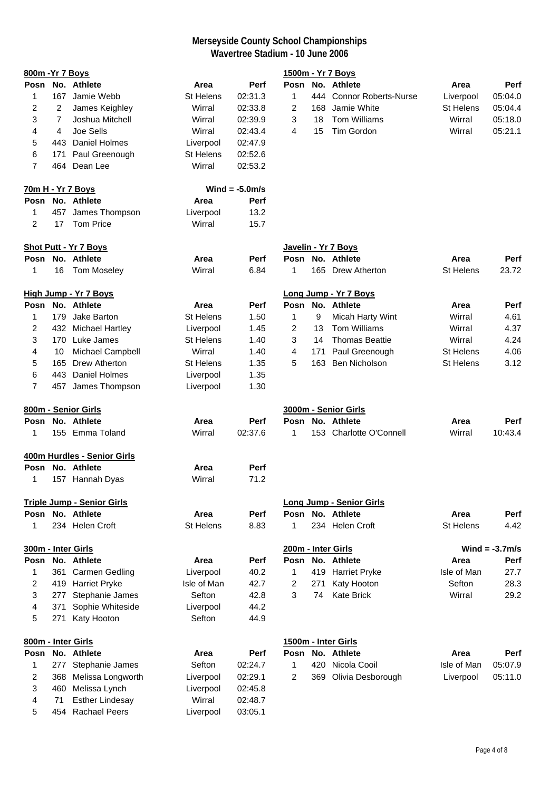| 800m - Yr 7 Boys   |     |                                   |                  |                   |                |     | 1500m - Yr 7 Boys               |                  |                   |
|--------------------|-----|-----------------------------------|------------------|-------------------|----------------|-----|---------------------------------|------------------|-------------------|
| Posn               |     | No. Athlete                       | Area             | Perf              |                |     | Posn No. Athlete                | Area             | <b>Perf</b>       |
| 1                  | 167 | Jamie Webb                        | St Helens        | 02:31.3           | 1              | 444 | <b>Connor Roberts-Nurse</b>     | Liverpool        | 05:04.0           |
| 2                  | 2   | James Keighley                    | Wirral           | 02:33.8           | $\overline{2}$ | 168 | Jamie White                     | <b>St Helens</b> | 05:04.4           |
| 3                  | 7   | Joshua Mitchell                   | Wirral           | 02:39.9           | 3              | 18  | <b>Tom Williams</b>             | Wirral           | 05:18.0           |
| 4                  | 4   | Joe Sells                         | Wirral           | 02:43.4           | 4              | 15  | Tim Gordon                      | Wirral           | 05:21.1           |
| 5                  |     | 443 Daniel Holmes                 | Liverpool        | 02:47.9           |                |     |                                 |                  |                   |
| 6                  | 171 | Paul Greenough                    | St Helens        | 02:52.6           |                |     |                                 |                  |                   |
| $\overline{7}$     |     | 464 Dean Lee                      | Wirral           | 02:53.2           |                |     |                                 |                  |                   |
|                    |     | 70m H - Yr 7 Boys                 |                  | Wind = $-5.0$ m/s |                |     |                                 |                  |                   |
|                    |     | Posn No. Athlete                  | Area             | Perf              |                |     |                                 |                  |                   |
| 1                  |     | 457 James Thompson                | Liverpool        | 13.2              |                |     |                                 |                  |                   |
| $\overline{c}$     | 17  | Tom Price                         | Wirral           | 15.7              |                |     |                                 |                  |                   |
|                    |     | <b>Shot Putt - Yr 7 Boys</b>      |                  |                   |                |     | Javelin - Yr 7 Boys             |                  |                   |
| Posn               |     | No. Athlete                       | Area             | Perf              |                |     | Posn No. Athlete                | Area             | Perf              |
| 1                  | 16  | <b>Tom Moseley</b>                | Wirral           | 6.84              | 1              |     | 165 Drew Atherton               | <b>St Helens</b> | 23.72             |
|                    |     | <b>High Jump - Yr 7 Boys</b>      |                  |                   |                |     | Long Jump - Yr 7 Boys           |                  |                   |
| Posn               |     | No. Athlete                       | Area             | Perf              | Posn           |     | No. Athlete                     | Area             | Perf              |
| 1                  |     | 179 Jake Barton                   | <b>St Helens</b> | 1.50              | 1              | 9   | Micah Harty Wint                | Wirral           | 4.61              |
| 2                  |     | 432 Michael Hartley               | Liverpool        | 1.45              | 2              | 13  | <b>Tom Williams</b>             | Wirral           | 4.37              |
| 3                  |     | 170 Luke James                    | St Helens        | 1.40              | 3              | 14  | <b>Thomas Beattie</b>           | Wirral           | 4.24              |
| 4                  | 10  | Michael Campbell                  | Wirral           | 1.40              | 4              | 171 | Paul Greenough                  | St Helens        | 4.06              |
| 5                  | 165 | <b>Drew Atherton</b>              | St Helens        | 1.35              | 5              | 163 | Ben Nicholson                   | <b>St Helens</b> | 3.12              |
| 6                  |     | 443 Daniel Holmes                 | Liverpool        | 1.35              |                |     |                                 |                  |                   |
| $\overline{7}$     |     | 457 James Thompson                | Liverpool        | 1.30              |                |     |                                 |                  |                   |
|                    |     | 800m - Senior Girls               |                  |                   |                |     | 3000m - Senior Girls            |                  |                   |
| Posn               |     | No. Athlete                       | Area             | <b>Perf</b>       |                |     | Posn No. Athlete                | Area             | <b>Perf</b>       |
| 1                  |     | 155 Emma Toland                   | Wirral           | 02:37.6           | 1              |     | 153 Charlotte O'Connell         | Wirral           | 10:43.4           |
|                    |     | 400m Hurdles - Senior Girls       |                  |                   |                |     |                                 |                  |                   |
| Posn               |     | No. Athlete                       | Area             | <b>Perf</b>       |                |     |                                 |                  |                   |
| 1                  |     | 157 Hannah Dyas                   | Wirral           | 71.2              |                |     |                                 |                  |                   |
|                    |     | <b>Triple Jump - Senior Girls</b> |                  |                   |                |     | <b>Long Jump - Senior Girls</b> |                  |                   |
| Posn               |     | No. Athlete                       | Area             | Perf              |                |     | Posn No. Athlete                | Area             | Perf              |
| 1                  |     | 234 Helen Croft                   | <b>St Helens</b> | 8.83              | 1              |     | 234 Helen Croft                 | St Helens        | 4.42              |
| 300m - Inter Girls |     |                                   |                  |                   |                |     | 200m - Inter Girls              |                  | Wind = $-3.7$ m/s |
| Posn               |     | No. Athlete                       | Area             | <b>Perf</b>       |                |     | Posn No. Athlete                | Area             | <b>Perf</b>       |
| 1                  |     | 361 Carmen Gedling                | Liverpool        | 40.2              | 1              |     | 419 Harriet Pryke               | Isle of Man      | 27.7              |
| 2                  |     | 419 Harriet Pryke                 | Isle of Man      | 42.7              | $\overline{2}$ | 271 | Katy Hooton                     | Sefton           | 28.3              |
| 3                  | 277 | Stephanie James                   | Sefton           | 42.8              | 3              | 74  | <b>Kate Brick</b>               | Wirral           | 29.2              |
| 4                  | 371 | Sophie Whiteside                  | Liverpool        | 44.2              |                |     |                                 |                  |                   |
| 5                  | 271 | Katy Hooton                       | Sefton           | 44.9              |                |     |                                 |                  |                   |
| 800m - Inter Girls |     |                                   |                  |                   |                |     | 1500m - Inter Girls             |                  |                   |
| Posn               |     | No. Athlete                       | Area             | <b>Perf</b>       |                |     | Posn No. Athlete                | Area             | <b>Perf</b>       |
| 1                  | 277 | Stephanie James                   | Sefton           | 02:24.7           | 1              | 420 | Nicola Cooil                    | Isle of Man      | 05:07.9           |
| 2                  | 368 | Melissa Longworth                 | Liverpool        | 02:29.1           | $\overline{2}$ | 369 | Olivia Desborough               | Liverpool        | 05:11.0           |
| 3                  | 460 | Melissa Lynch                     | Liverpool        | 02:45.8           |                |     |                                 |                  |                   |
| 4                  | 71  | <b>Esther Lindesay</b>            | Wirral           | 02:48.7           |                |     |                                 |                  |                   |
| 5                  |     | 454 Rachael Peers                 | Liverpool        | 03:05.1           |                |     |                                 |                  |                   |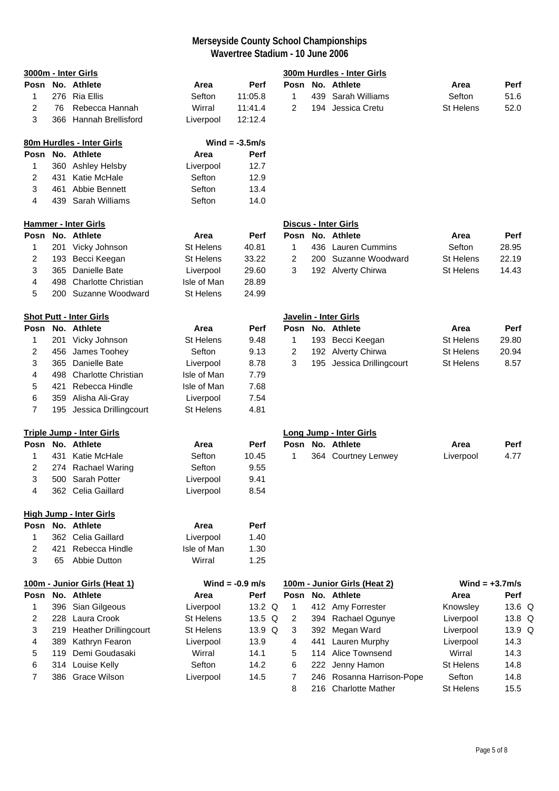|                |     | 3000m - Inter Girls              |                  |                   |                |     | 300m Hurdles - Inter Girls     |                   |          |
|----------------|-----|----------------------------------|------------------|-------------------|----------------|-----|--------------------------------|-------------------|----------|
|                |     | Posn No. Athlete                 | Area             | Perf              |                |     | Posn No. Athlete               | Area              | Perf     |
| 1              |     | 276 Ria Ellis                    | Sefton           | 11:05.8           | 1              |     | 439 Sarah Williams             | Sefton            | 51.6     |
| 2              | 76  | Rebecca Hannah                   | Wirral           | 11:41.4           | 2              |     | 194 Jessica Cretu              | St Helens         | 52.0     |
| 3              |     | 366 Hannah Brellisford           | Liverpool        | 12:12.4           |                |     |                                |                   |          |
|                |     | 80m Hurdles - Inter Girls        |                  | Wind = $-3.5$ m/s |                |     |                                |                   |          |
|                |     | Posn No. Athlete                 | Area             | <b>Perf</b>       |                |     |                                |                   |          |
| 1              |     | 360 Ashley Helsby                | Liverpool        | 12.7              |                |     |                                |                   |          |
| 2              | 431 | Katie McHale                     | Sefton           | 12.9              |                |     |                                |                   |          |
| 3              | 461 | Abbie Bennett                    | Sefton           | 13.4              |                |     |                                |                   |          |
| 4              |     | 439 Sarah Williams               | Sefton           | 14.0              |                |     |                                |                   |          |
|                |     | <b>Hammer - Inter Girls</b>      |                  |                   |                |     | Discus - Inter Girls           |                   |          |
| Posn           |     | No. Athlete                      | Area             | Perf              |                |     | Posn No. Athlete               | Area              | Perf     |
| 1              |     | 201 Vicky Johnson                | St Helens        | 40.81             | 1              |     | 436 Lauren Cummins             | Sefton            | 28.95    |
| 2              |     | 193 Becci Keegan                 | <b>St Helens</b> | 33.22             | 2              |     | 200 Suzanne Woodward           | <b>St Helens</b>  | 22.19    |
| 3              | 365 | Danielle Bate                    | Liverpool        | 29.60             | 3              |     | 192 Alverty Chirwa             | <b>St Helens</b>  | 14.43    |
| 4              | 498 | <b>Charlotte Christian</b>       | Isle of Man      | 28.89             |                |     |                                |                   |          |
| 5              |     | 200 Suzanne Woodward             | St Helens        | 24.99             |                |     |                                |                   |          |
|                |     | <b>Shot Putt - Inter Girls</b>   |                  |                   |                |     | Javelin - Inter Girls          |                   |          |
| Posn           |     | No. Athlete                      | Area             | Perf              |                |     | Posn No. Athlete               | Area              | Perf     |
| 1              |     | 201 Vicky Johnson                | St Helens        | 9.48              | 1              |     | 193 Becci Keegan               | <b>St Helens</b>  | 29.80    |
| 2              | 456 | James Toohey                     | Sefton           | 9.13              | $\overline{2}$ |     | 192 Alverty Chirwa             | St Helens         | 20.94    |
| 3              | 365 | Danielle Bate                    | Liverpool        | 8.78              | 3              |     | 195 Jessica Drillingcourt      | <b>St Helens</b>  | 8.57     |
| 4              | 498 | <b>Charlotte Christian</b>       | Isle of Man      | 7.79              |                |     |                                |                   |          |
| 5              | 421 | Rebecca Hindle                   | Isle of Man      | 7.68              |                |     |                                |                   |          |
| 6              |     | 359 Alisha Ali-Gray              | Liverpool        | 7.54              |                |     |                                |                   |          |
| $\overline{7}$ |     | 195 Jessica Drillingcourt        | <b>St Helens</b> | 4.81              |                |     |                                |                   |          |
|                |     | <b>Triple Jump - Inter Girls</b> |                  |                   |                |     | <b>Long Jump - Inter Girls</b> |                   |          |
|                |     | Posn No. Athlete                 | Area             | Perf              |                |     | Posn No. Athlete               | Area              | Perf     |
| 1              |     | 431 Katie McHale                 | Sefton           | 10.45             | 1              |     | 364 Courtney Lenwey            | Liverpool         | 4.77     |
| 2              |     | 274 Rachael Waring               | Sefton           | 9.55              |                |     |                                |                   |          |
| 3              |     | 500 Sarah Potter                 | Liverpool        | 9.41              |                |     |                                |                   |          |
| 4              |     | 362 Celia Gaillard               | Liverpool        | 8.54              |                |     |                                |                   |          |
|                |     | <b>High Jump - Inter Girls</b>   |                  |                   |                |     |                                |                   |          |
|                |     | Posn No. Athlete                 | Area             | Perf              |                |     |                                |                   |          |
| 1              |     | 362 Celia Gaillard               | Liverpool        | 1.40              |                |     |                                |                   |          |
| $\overline{c}$ | 421 | Rebecca Hindle                   | Isle of Man      | 1.30              |                |     |                                |                   |          |
| 3              | 65  | Abbie Dutton                     | Wirral           | 1.25              |                |     |                                |                   |          |
|                |     | 100m - Junior Girls (Heat 1)     |                  | Wind $= -0.9$ m/s |                |     | 100m - Junior Girls (Heat 2)   | Wind = $+3.7$ m/s |          |
| Posn           |     | No. Athlete                      | Area             | Perf              | Posn           |     | No. Athlete                    | Area              | Perf     |
| 1              | 396 | Sian Gilgeous                    | Liverpool        | 13.2 Q            | 1              |     | 412 Amy Forrester              | Knowsley          | 13.6 $Q$ |
| 2              | 228 | Laura Crook                      | <b>St Helens</b> | 13.5 Q            | 2              |     | 394 Rachael Ogunye             | Liverpool         | 13.8 Q   |
| 3              | 219 | <b>Heather Drillingcourt</b>     | St Helens        | 13.9 Q            | 3              |     | 392 Megan Ward                 | Liverpool         | 13.9 Q   |
| 4              | 389 | Kathryn Fearon                   | Liverpool        | 13.9              | 4              | 441 | <b>Lauren Murphy</b>           | Liverpool         | 14.3     |
| 5              | 119 | Demi Goudasaki                   | Wirral           | 14.1              | 5              | 114 | Alice Townsend                 | Wirral            | 14.3     |
| 6              |     | 314 Louise Kelly                 | Sefton           | 14.2              | 6              |     | 222 Jenny Hamon                | St Helens         | 14.8     |
| $\overline{7}$ |     | 386 Grace Wilson                 | Liverpool        | 14.5              | 7              |     | 246 Rosanna Harrison-Pope      | Sefton            | 14.8     |
|                |     |                                  |                  |                   | 8              |     | 216 Charlotte Mather           | <b>St Helens</b>  | 15.5     |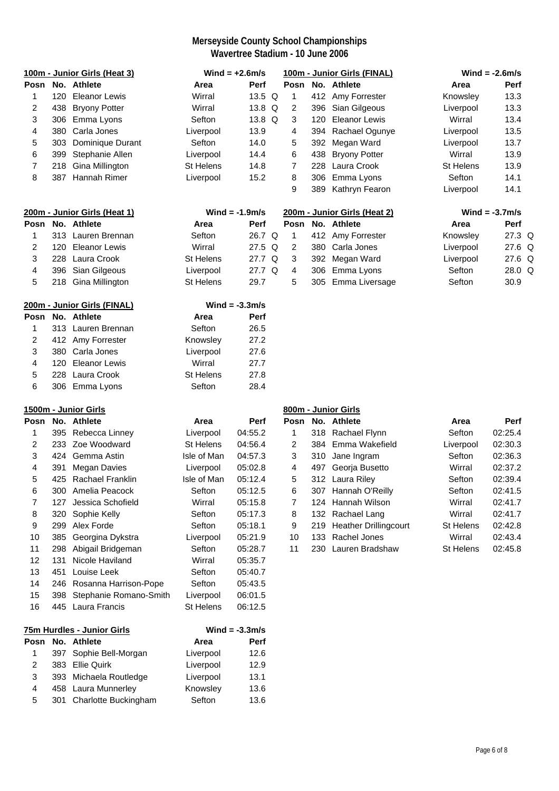|                |      | 100m - Junior Girls (Heat 3) |                  | Wind = $+2.6$ m/s |                |     | 100m - Junior Girls (FINAL)  | Wind = $-2.6$ m/s |                   |  |
|----------------|------|------------------------------|------------------|-------------------|----------------|-----|------------------------------|-------------------|-------------------|--|
|                |      | Posn No. Athlete             | Area             | <b>Perf</b>       |                |     | Posn No. Athlete             | Area              | Perf              |  |
| 1              | 120  | <b>Eleanor Lewis</b>         | Wirral           | 13.5 Q            | $\mathbf{1}$   |     | 412 Amy Forrester            | Knowsley          | 13.3              |  |
| 2              | 438  | <b>Bryony Potter</b>         | Wirral           | 13.8 Q            | 2              |     | 396 Sian Gilgeous            | Liverpool         | 13.3              |  |
| 3              | 306  | Emma Lyons                   | Sefton           | 13.8 Q            | 3              | 120 | <b>Eleanor Lewis</b>         | Wirral            | 13.4              |  |
| 4              |      | 380 Carla Jones              | Liverpool        | 13.9              | 4              | 394 | Rachael Ogunye               | Liverpool         | 13.5              |  |
| 5              | 303  | Dominique Durant             | Sefton           | 14.0              | 5              | 392 | Megan Ward                   | Liverpool         | 13.7              |  |
| 6              | 399  | Stephanie Allen              | Liverpool        | 14.4              | 6              | 438 | <b>Bryony Potter</b>         | Wirral            | 13.9              |  |
| $\overline{7}$ | 218  | Gina Millington              | <b>St Helens</b> | 14.8              | 7              | 228 | Laura Crook                  | <b>St Helens</b>  | 13.9              |  |
| 8              | 387  | Hannah Rimer                 | Liverpool        | 15.2              | 8              | 306 | Emma Lyons                   | Sefton            | 14.1              |  |
|                |      |                              |                  |                   | 9              | 389 | Kathryn Fearon               | Liverpool         | 14.1              |  |
|                |      | 200m - Junior Girls (Heat 1) |                  | Wind = $-1.9m/s$  |                |     | 200m - Junior Girls (Heat 2) |                   | Wind = $-3.7$ m/s |  |
| Posn           |      | No. Athlete                  | Area             | <b>Perf</b>       | Posn           |     | No. Athlete                  | Area              | Perf              |  |
| 1              |      | 313 Lauren Brennan           | Sefton           | 26.7 Q            | 1              |     | 412 Amy Forrester            | Knowsley          | 27.3 Q            |  |
| 2              | 120  | <b>Eleanor Lewis</b>         | Wirral           | 27.5 Q            | $\overline{2}$ | 380 | Carla Jones                  | Liverpool         | 27.6 Q            |  |
| 3              | 228  | Laura Crook                  | <b>St Helens</b> | 27.7 Q            | 3              | 392 | Megan Ward                   | Liverpool         | 27.6 Q            |  |
| 4              | 396  | Sian Gilgeous                | Liverpool        | 27.7 Q            | $\overline{4}$ | 306 | Emma Lyons                   | Sefton            | 28.0 Q            |  |
| 5              |      | 218 Gina Millington          | <b>St Helens</b> | 29.7              | 5              | 305 | Emma Liversage               | Sefton            | 30.9              |  |
|                |      | 200m - Junior Girls (FINAL)  |                  | Wind = $-3.3$ m/s |                |     |                              |                   |                   |  |
| Posn           |      | No. Athlete                  | Area             | <b>Perf</b>       |                |     |                              |                   |                   |  |
| 1              |      | 313 Lauren Brennan           | Sefton           | 26.5              |                |     |                              |                   |                   |  |
| 2              |      | 412 Amy Forrester            | Knowsley         | 27.2              |                |     |                              |                   |                   |  |
| 3              |      | 380 Carla Jones              | Liverpool        | 27.6              |                |     |                              |                   |                   |  |
| 4              | 120  | <b>Eleanor Lewis</b>         | Wirral           | 27.7              |                |     |                              |                   |                   |  |
| 5              | 228  | Laura Crook                  | St Helens        | 27.8              |                |     |                              |                   |                   |  |
| 6              |      | 306 Emma Lyons               | Sefton           | 28.4              |                |     |                              |                   |                   |  |
|                |      | 1500m - Junior Girls         |                  |                   |                |     | 800m - Junior Girls          |                   |                   |  |
| Posn           |      | No. Athlete                  | Area             | Perf              | Posn           |     | No. Athlete                  | Area              | Perf              |  |
| 1              |      | 395 Rebecca Linney           | Liverpool        | 04:55.2           | $\mathbf{1}$   |     | 318 Rachael Flynn            | Sefton            | 02:25.4           |  |
| 2              | 233  | Zoe Woodward                 | <b>St Helens</b> | 04:56.4           | 2              | 384 | Emma Wakefield               | Liverpool         | 02:30.3           |  |
| 3              | 424  | Gemma Astin                  | Isle of Man      | 04:57.3           | 3              | 310 | Jane Ingram                  | Sefton            | 02:36.3           |  |
| 4              | 391  | <b>Megan Davies</b>          | Liverpool        | 05:02.8           | 4              |     | 497 Georja Busetto           | Wirral            | 02:37.2           |  |
| 5              | 425  | Rachael Franklin             | Isle of Man      | 05:12.4           | 5              |     | 312 Laura Riley              | Sefton            | 02:39.4           |  |
| 6              |      | 300 Amelia Peacock           | Sefton           | 05:12.5           | 6              |     | 307 Hannah O'Reilly          | Sefton            | 02:41.5           |  |
| 7              | 127  | Jessica Schofield            | Wirral           | 05:15.8           | 7              | 124 | Hannah Wilson                | Wirral            | 02:41.7           |  |
| 8              |      | 320 Sophie Kelly             | Sefton           | 05:17.3           | 8              |     | 132 Rachael Lang             | Wirral            | 02:41.7           |  |
| 9              | 299  | Alex Forde                   | Sefton           | 05:18.1           | 9              |     | 219 Heather Drillingcourt    | St Helens         | 02:42.8           |  |
| 10             | 385  | Georgina Dykstra             | Liverpool        | 05:21.9           | 10             |     | 133 Rachel Jones             | Wirral            | 02:43.4           |  |
| 11             | 298  | Abigail Bridgeman            | Sefton           | 05:28.7           | 11             |     | 230 Lauren Bradshaw          | St Helens         | 02:45.8           |  |
| 12             | 131  | Nicole Haviland              | Wirral           | 05:35.7           |                |     |                              |                   |                   |  |
| 13             | 451  | Louise Leek                  | Sefton           | 05:40.7           |                |     |                              |                   |                   |  |
| 14             |      | 246 Rosanna Harrison-Pope    | Sefton           | 05:43.5           |                |     |                              |                   |                   |  |
| 15             | 398  | Stephanie Romano-Smith       | Liverpool        | 06:01.5           |                |     |                              |                   |                   |  |
| 16             |      | 445 Laura Francis            | St Helens        | 06:12.5           |                |     |                              |                   |                   |  |
|                |      | 75m Hurdles - Junior Girls   |                  | Wind $= -3.3$ m/s |                |     |                              |                   |                   |  |
|                |      | Posn No. Athlete             | Area             | Perf              |                |     |                              |                   |                   |  |
| 1              | 397  | Sophie Bell-Morgan           | Liverpool        | 12.6              |                |     |                              |                   |                   |  |
| 2              | 383  | <b>Ellie Quirk</b>           | Liverpool        | 12.9              |                |     |                              |                   |                   |  |
| 3              | 393. | Michaela Routledge           | Liverpool        | 13.1              |                |     |                              |                   |                   |  |
| 4              |      | 458 Laura Munnerley          | Knowsley         | 13.6              |                |     |                              |                   |                   |  |
| 5              | 301  | Charlotte Buckingham         | Sefton           | 13.6              |                |     |                              |                   |                   |  |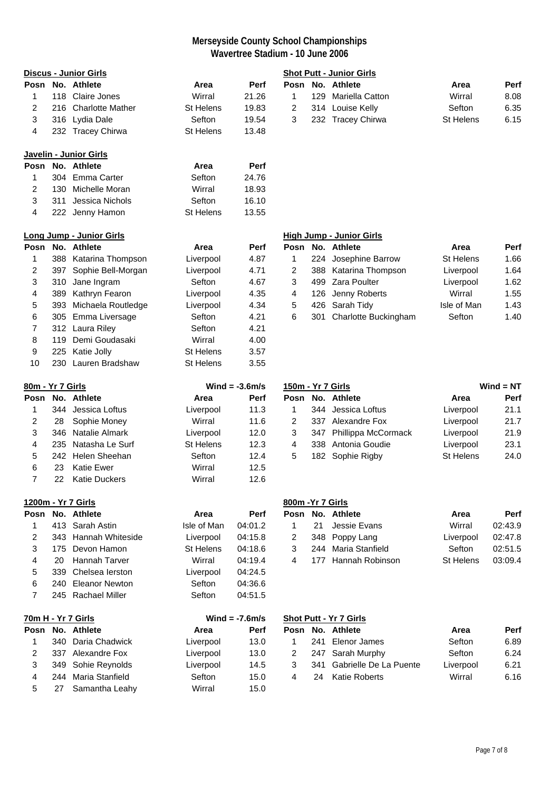|                  |     | <b>Discus - Junior Girls</b>       |                               |                   |                   |     | <b>Shot Putt - Junior Girls</b>               |                               |              |
|------------------|-----|------------------------------------|-------------------------------|-------------------|-------------------|-----|-----------------------------------------------|-------------------------------|--------------|
|                  |     | Posn No. Athlete                   | Area                          | Perf              |                   |     | Posn No. Athlete                              | Area                          | Perf         |
| 1                |     | 118 Claire Jones                   | Wirral                        | 21.26             | 1                 |     | 129 Mariella Catton                           | Wirral                        | 8.08         |
| 2                |     | 216 Charlotte Mather               | <b>St Helens</b>              | 19.83             | $\overline{2}$    |     | 314 Louise Kelly                              | Sefton                        | 6.35         |
| 3                |     | 316 Lydia Dale                     | Sefton                        | 19.54             | 3                 |     | 232 Tracey Chirwa                             | St Helens                     | 6.15         |
| 4                |     | 232 Tracey Chirwa                  | <b>St Helens</b>              | 13.48             |                   |     |                                               |                               |              |
|                  |     | Javelin - Junior Girls             |                               |                   |                   |     |                                               |                               |              |
| Posn             |     | No. Athlete                        | Area                          | Perf              |                   |     |                                               |                               |              |
| 1                |     | 304 Emma Carter                    | Sefton                        | 24.76             |                   |     |                                               |                               |              |
| 2                |     | 130 Michelle Moran                 | Wirral                        | 18.93             |                   |     |                                               |                               |              |
| 3                | 311 | Jessica Nichols                    | Sefton                        | 16.10             |                   |     |                                               |                               |              |
| 4                |     | 222 Jenny Hamon                    | St Helens                     | 13.55             |                   |     |                                               |                               |              |
|                  |     | <b>Long Jump - Junior Girls</b>    |                               |                   |                   |     | <b>High Jump - Junior Girls</b>               |                               |              |
| Posn             |     | No. Athlete                        | Area                          | Perf              |                   |     | Posn No. Athlete                              | Area                          | Perf         |
| 1                |     | 388 Katarina Thompson              | Liverpool                     | 4.87              | 1                 |     | 224 Josephine Barrow                          | St Helens                     | 1.66         |
| 2                |     | 397 Sophie Bell-Morgan             | Liverpool                     | 4.71              | 2                 |     | 388 Katarina Thompson                         | Liverpool                     | 1.64         |
| 3                | 310 | Jane Ingram                        | Sefton                        | 4.67              | 3                 | 499 | Zara Poulter                                  | Liverpool                     | 1.62         |
| 4                |     | 389 Kathryn Fearon                 | Liverpool                     | 4.35              | 4                 |     | 126 Jenny Roberts                             | Wirral                        | 1.55         |
| 5                |     | 393 Michaela Routledge             | Liverpool                     | 4.34              | 5                 |     | 426 Sarah Tidy                                | Isle of Man                   | 1.43         |
| 6                |     | 305 Emma Liversage                 | Sefton                        | 4.21              | 6                 | 301 | Charlotte Buckingham                          | Sefton                        | 1.40         |
| 7                |     | 312 Laura Riley                    | Sefton                        | 4.21              |                   |     |                                               |                               |              |
| 8                |     | 119 Demi Goudasaki                 | Wirral                        | 4.00              |                   |     |                                               |                               |              |
| 9                |     | 225 Katie Jolly                    | St Helens                     | 3.57              |                   |     |                                               |                               |              |
| 10               |     | 230 Lauren Bradshaw                | <b>St Helens</b>              | 3.55              |                   |     |                                               |                               |              |
| 80m - Yr 7 Girls |     |                                    |                               | Wind = $-3.6$ m/s | 150m - Yr 7 Girls |     |                                               |                               | $Wind = NT$  |
|                  |     |                                    |                               |                   |                   |     |                                               |                               |              |
| Posn             |     | No. Athlete                        | Area                          | Perf              | Posn              |     | No. Athlete                                   | Area                          |              |
| 1                |     | 344 Jessica Loftus                 |                               | 11.3              | 1                 |     | 344 Jessica Loftus                            |                               | Perf<br>21.1 |
| 2                | 28  |                                    | Liverpool<br>Wirral           | 11.6              | 2                 |     | 337 Alexandre Fox                             | Liverpool                     | 21.7         |
| 3                |     | Sophie Money<br>346 Natalie Almark |                               |                   | 3                 |     |                                               | Liverpool                     |              |
| 4                | 235 | Natasha Le Surf                    | Liverpool<br><b>St Helens</b> | 12.0<br>12.3      | 4                 |     | 347 Phillippa McCormack<br>338 Antonia Goudie | Liverpool                     | 21.9<br>23.1 |
| 5                |     | 242 Helen Sheehan                  | Sefton                        | 12.4              | 5                 |     | 182 Sophie Rigby                              | Liverpool<br><b>St Helens</b> | 24.0         |
| 6                | 23  | <b>Katie Ewer</b>                  | Wirral                        | 12.5              |                   |     |                                               |                               |              |
| 7                | 22  | <b>Katie Duckers</b>               | Wirral                        | 12.6              |                   |     |                                               |                               |              |
|                  |     | 1200m - Yr 7 Girls                 |                               |                   | 800m - Yr 7 Girls |     |                                               |                               |              |
| Posn             |     | No. Athlete                        | Area                          | Perf              |                   |     | Posn No. Athlete                              | Area                          | Perf         |
| 1                | 413 | Sarah Astin                        | Isle of Man                   | 04:01.2           | 1                 | 21  | Jessie Evans                                  | Wirral                        | 02:43.9      |
| 2                | 343 | Hannah Whiteside                   | Liverpool                     | 04:15.8           | 2                 | 348 | Poppy Lang                                    | Liverpool                     | 02:47.8      |
| 3                | 175 | Devon Hamon                        | <b>St Helens</b>              | 04:18.6           | 3                 | 244 | Maria Stanfield                               | Sefton                        | 02:51.5      |
| 4                | 20  | <b>Hannah Tarver</b>               | Wirral                        | 04:19.4           | 4                 | 177 | Hannah Robinson                               | <b>St Helens</b>              | 03:09.4      |
| 5                | 339 | Chelsea lerston                    | Liverpool                     | 04:24.5           |                   |     |                                               |                               |              |
| 6                | 240 | <b>Eleanor Newton</b>              | Sefton                        | 04:36.6           |                   |     |                                               |                               |              |
| 7                |     | 245 Rachael Miller                 | Sefton                        | 04:51.5           |                   |     |                                               |                               |              |
|                  |     | 70m H - Yr 7 Girls                 |                               | Wind = $-7.6$ m/s |                   |     | <b>Shot Putt - Yr 7 Girls</b>                 |                               |              |
| Posn             |     | No. Athlete                        | Area                          | Perf              |                   |     | Posn No. Athlete                              | Area                          | Perf         |
| 1                | 340 | Daria Chadwick                     | Liverpool                     | 13.0              | 1                 | 241 | Elenor James                                  | Sefton                        | 6.89         |
| 2                |     | 337 Alexandre Fox                  | Liverpool                     | 13.0              | 2                 | 247 | Sarah Murphy                                  | Sefton                        | 6.24         |
| 3                | 349 | Sohie Reynolds                     | Liverpool                     | 14.5              | 3                 | 341 | Gabrielle De La Puente                        | Liverpool                     | 6.21         |
| 4                | 244 | Maria Stanfield                    | Sefton                        | 15.0              | 4                 | 24  | <b>Katie Roberts</b>                          | Wirral                        | 6.16         |

|   | Posn No. Athlete    | Area      | <b>Perf</b> |
|---|---------------------|-----------|-------------|
| 1 | 129 Mariella Catton | Wirral    | 8.08        |
| 2 | 314 Louise Kelly    | Sefton    | 6.35        |
| 3 | 232 Tracey Chirwa   | St Helens | 6.15        |

# **Long Jump - Junior Girls High Jump - Junior Girls** 4 Josephine Barrow St Helens 1.66 2 8 Katarina Thompson Liverpool 1.64 9 Zara Poulter **Ingram Sefton 1.62** 4 4 5 389 Kathryn Feart Control 4.55 and 1.55 and 1.55 6 Sarah Tidy **Isle of Man** 1.43 Charlotte Buckingham Sefton 1.40

| 150m - Yr 7 Girls |  |                         | $Wind = NT$      |      |
|-------------------|--|-------------------------|------------------|------|
| Posn              |  | No. Athlete             | Area             | Perf |
| 1                 |  | 344 Jessica Loftus      | Liverpool        | 21.1 |
| 2                 |  | 337 Alexandre Fox       | Liverpool        | 21.7 |
| 3                 |  | 347 Phillippa McCormack | Liverpool        | 21.9 |
| 4                 |  | 338 Antonia Goudie      | Liverpool        | 23.1 |
| 5                 |  | 182 Sophie Rigby        | <b>St Helens</b> | 24.0 |

|   | 00m -Yr 7 Girls |                              |           |         |  |  |  |  |  |  |
|---|-----------------|------------------------------|-----------|---------|--|--|--|--|--|--|
|   |                 | <sup>o</sup> osn No. Athlete | Area      | Perf    |  |  |  |  |  |  |
|   |                 | 1 21 Jessie Evans            | Wirral    | 02:43.9 |  |  |  |  |  |  |
| 2 |                 | 348 Poppy Lang               | Liverpool | 02:47.8 |  |  |  |  |  |  |
| 3 |                 | 244 Maria Stanfield          | Sefton    | 02:51.5 |  |  |  |  |  |  |
| 4 |                 | 177 Hannah Robinson          | St Helens | 03:09.4 |  |  |  |  |  |  |
|   |                 |                              |           |         |  |  |  |  |  |  |

|   |     | 70m H - Yr 7 Girls  |           | Wind = $-7.6$ m/s |      |     | <b>Shot Putt - Yr 7 Girls</b> |           |             |
|---|-----|---------------------|-----------|-------------------|------|-----|-------------------------------|-----------|-------------|
|   |     | Posn No. Athlete    | Area      | <b>Perf</b>       | Posn |     | No. Athlete                   | Area      | <b>Perf</b> |
|   |     | 340 Daria Chadwick  | Liverpool | 13.0              |      |     | 241 Elenor James              | Sefton    | 6.89        |
|   |     | 337 Alexandre Fox   | Liverpool | 13.0              | 2    |     | 247 Sarah Murphy              | Sefton    | 6.24        |
|   |     | 349 Sohie Reynolds  | Liverpool | 14.5              |      | 341 | Gabrielle De La Puente        | Liverpool | 6.21        |
| 4 | 244 | Maria Stanfield     | Sefton    | 15.0              | 4    | 24  | Katie Roberts                 | Wirral    | 6.16        |
|   |     | 27   Samantha Leahv | Wirral    | 15 $\Omega$       |      |     |                               |           |             |